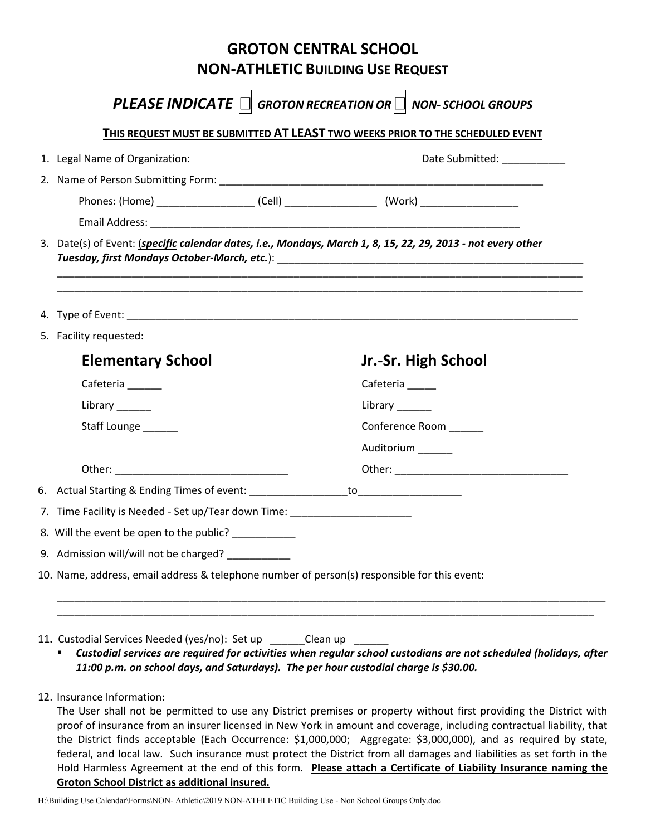|                                                                                |                                                                                                                         | <b>GROTON CENTRAL SCHOOL</b><br><b>NON-ATHLETIC BUILDING USE REQUEST</b>    |  |
|--------------------------------------------------------------------------------|-------------------------------------------------------------------------------------------------------------------------|-----------------------------------------------------------------------------|--|
|                                                                                |                                                                                                                         | <b>PLEASE INDICATE</b> $\Box$ GROTON RECREATION OR $\Box$ NON-SCHOOL GROUPS |  |
| THIS REQUEST MUST BE SUBMITTED AT LEAST TWO WEEKS PRIOR TO THE SCHEDULED EVENT |                                                                                                                         |                                                                             |  |
|                                                                                |                                                                                                                         |                                                                             |  |
|                                                                                |                                                                                                                         |                                                                             |  |
|                                                                                |                                                                                                                         |                                                                             |  |
|                                                                                |                                                                                                                         |                                                                             |  |
|                                                                                | 3. Date(s) of Event: (specific calendar dates, i.e., Mondays, March 1, 8, 15, 22, 29, 2013 - not every other            |                                                                             |  |
|                                                                                |                                                                                                                         |                                                                             |  |
|                                                                                |                                                                                                                         |                                                                             |  |
|                                                                                | 5. Facility requested:                                                                                                  |                                                                             |  |
|                                                                                | <b>Elementary School</b>                                                                                                | Jr.-Sr. High School                                                         |  |
|                                                                                | Cafeteria ______                                                                                                        | Cafeteria _____                                                             |  |
|                                                                                | Library $\frac{1}{\sqrt{1-\frac{1}{2}}\sqrt{1-\frac{1}{2}}\sqrt{1-\frac{1}{2}}\sqrt{1-\frac{1}{2}}\sqrt{1-\frac{1}{2}}$ | Library $\frac{1}{2}$                                                       |  |
|                                                                                | Staff Lounge                                                                                                            | Conference Room                                                             |  |
|                                                                                |                                                                                                                         | Auditorium ______                                                           |  |
|                                                                                |                                                                                                                         |                                                                             |  |
|                                                                                | 6. Actual Starting & Ending Times of event: ________________                                                            | to _________________                                                        |  |
|                                                                                | 7. Time Facility is Needed - Set up/Tear down Time: __________                                                          |                                                                             |  |
|                                                                                | 8. Will the event be open to the public? __________                                                                     |                                                                             |  |
|                                                                                | 9. Admission will/will not be charged?                                                                                  |                                                                             |  |

11. Custodial Services Needed (yes/no): Set up \_\_\_\_\_\_\_Clean up \_

- *Custodial services are required for activities when regular school custodians are not scheduled (holidays, after 11:00 p.m. on school days, and Saturdays). The per hour custodial charge is \$30.00.*
- 12. Insurance Information:

The User shall not be permitted to use any District premises or property without first providing the District with proof of insurance from an insurer licensed in New York in amount and coverage, including contractual liability, that the District finds acceptable (Each Occurrence: \$1,000,000; Aggregate: \$3,000,000), and as required by state, federal, and local law. Such insurance must protect the District from all damages and liabilities as set forth in the Hold Harmless Agreement at the end of this form. **Please attach a Certificate of Liability Insurance naming the Groton School District as additional insured.**